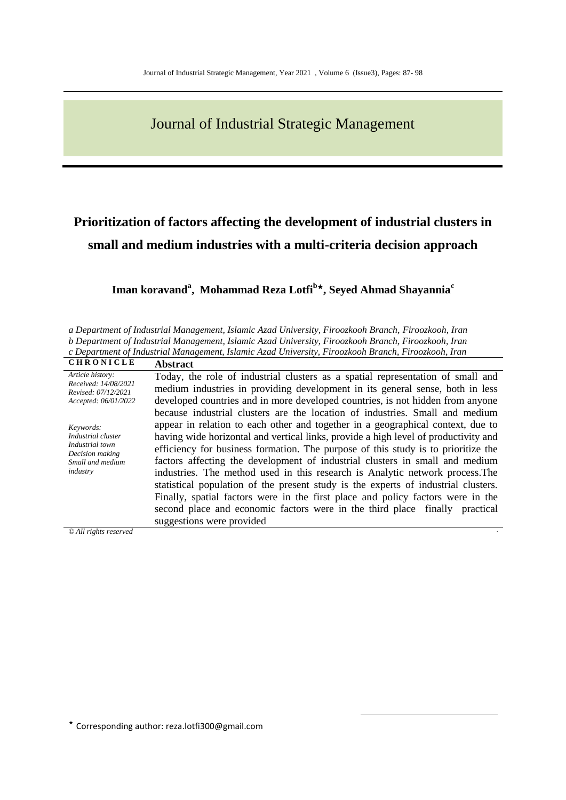# Journal of Industrial Strategic Management

# **Prioritization of factors affecting the development of industrial clusters in small and medium industries with a multi-criteria decision approach**

## **Iman koravand<sup>a</sup> , Mohammad Reza Lotfi<sup>b</sup>, Seyed Ahmad Shayannia<sup>c</sup>**

*a Department of Industrial Management, Islamic Azad University, Firoozkooh Branch, Firoozkooh, Iran b Department of Industrial Management, Islamic Azad University, Firoozkooh Branch, Firoozkooh, Iran c Department of Industrial Management, Islamic Azad University, Firoozkooh Branch, Firoozkooh, Iran*

| <b>CHRONICLE</b>                            | <b>Abstract</b>                                                                     |  |  |  |  |  |  |  |
|---------------------------------------------|-------------------------------------------------------------------------------------|--|--|--|--|--|--|--|
| Article history:<br>Received: 14/08/2021    | Today, the role of industrial clusters as a spatial representation of small and     |  |  |  |  |  |  |  |
| Revised: 07/12/2021<br>Accepted: 06/01/2022 | medium industries in providing development in its general sense, both in less       |  |  |  |  |  |  |  |
|                                             | developed countries and in more developed countries, is not hidden from anyone      |  |  |  |  |  |  |  |
|                                             | because industrial clusters are the location of industries. Small and medium        |  |  |  |  |  |  |  |
| Keywords:                                   | appear in relation to each other and together in a geographical context, due to     |  |  |  |  |  |  |  |
| Industrial cluster                          | having wide horizontal and vertical links, provide a high level of productivity and |  |  |  |  |  |  |  |
| Industrial town<br>Decision making          | efficiency for business formation. The purpose of this study is to prioritize the   |  |  |  |  |  |  |  |
| Small and medium                            | factors affecting the development of industrial clusters in small and medium        |  |  |  |  |  |  |  |
| industry                                    | industries. The method used in this research is Analytic network process. The       |  |  |  |  |  |  |  |
|                                             | statistical population of the present study is the experts of industrial clusters.  |  |  |  |  |  |  |  |
|                                             | Finally, spatial factors were in the first place and policy factors were in the     |  |  |  |  |  |  |  |
|                                             | second place and economic factors were in the third place finally practical         |  |  |  |  |  |  |  |
|                                             | suggestions were provided                                                           |  |  |  |  |  |  |  |
| $\odot$ All rights reserved                 |                                                                                     |  |  |  |  |  |  |  |

1

*© All rights reserved* .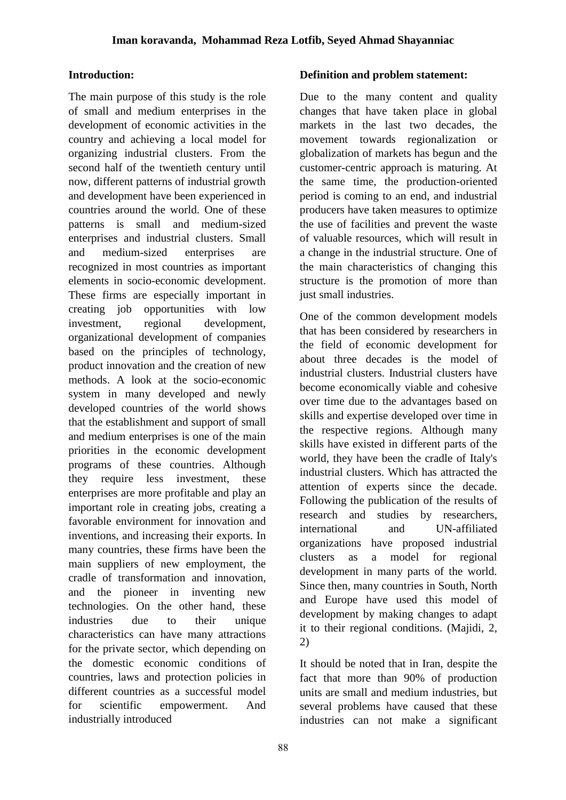### **Introduction:**

The main purpose of this study is the role of small and medium enterprises in the development of economic activities in the country and achieving a local model for organizing industrial clusters. From the second half of the twentieth century until now, different patterns of industrial growth and development have been experienced in countries around the world. One of these patterns is small and medium-sized enterprises and industrial clusters. Small and medium-sized enterprises are recognized in most countries as important elements in socio-economic development. These firms are especially important in creating job opportunities with low investment, regional development, organizational development of companies based on the principles of technology, product innovation and the creation of new methods. A look at the socio-economic system in many developed and newly developed countries of the world shows that the establishment and support of small and medium enterprises is one of the main priorities in the economic development programs of these countries. Although they require less investment, these enterprises are more profitable and play an important role in creating jobs, creating a favorable environment for innovation and inventions, and increasing their exports. In many countries, these firms have been the main suppliers of new employment, the cradle of transformation and innovation, and the pioneer in inventing new technologies. On the other hand, these industries due to their unique characteristics can have many attractions for the private sector, which depending on the domestic economic conditions of countries, laws and protection policies in different countries as a successful model for scientific empowerment. And industrially introduced

#### **Definition and problem statement:**

Due to the many content and quality changes that have taken place in global markets in the last two decades, the movement towards regionalization or globalization of markets has begun and the customer-centric approach is maturing. At the same time, the production-oriented period is coming to an end, and industrial producers have taken measures to optimize the use of facilities and prevent the waste of valuable resources, which will result in a change in the industrial structure. One of the main characteristics of changing this structure is the promotion of more than just small industries.

One of the common development models that has been considered by researchers in the field of economic development for about three decades is the model of industrial clusters. Industrial clusters have become economically viable and cohesive over time due to the advantages based on skills and expertise developed over time in the respective regions. Although many skills have existed in different parts of the world, they have been the cradle of Italy's industrial clusters. Which has attracted the attention of experts since the decade. Following the publication of the results of research and studies by researchers, international and UN-affiliated organizations have proposed industrial clusters as a model for regional development in many parts of the world. Since then, many countries in South, North and Europe have used this model of development by making changes to adapt it to their regional conditions. (Majidi, 2, 2)

It should be noted that in Iran, despite the fact that more than 90% of production units are small and medium industries, but several problems have caused that these industries can not make a significant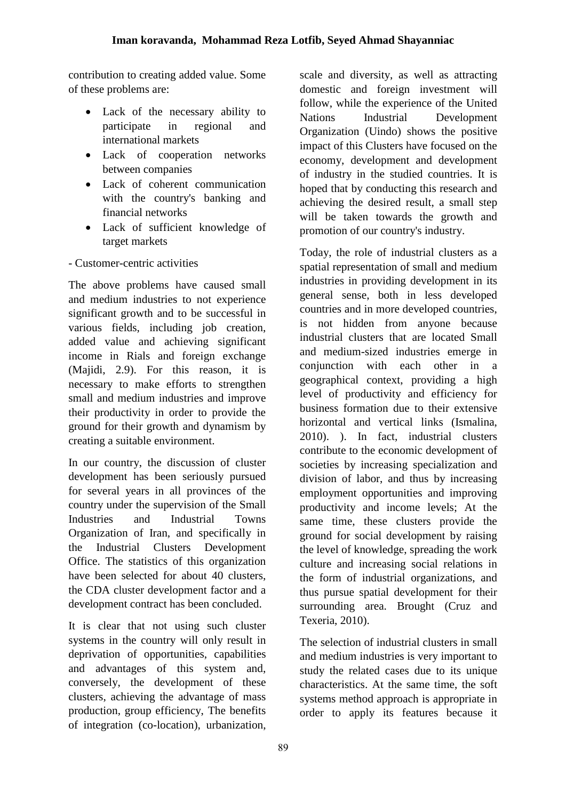contribution to creating added value. Some of these problems are:

- Lack of the necessary ability to participate in regional and international markets
- Lack of cooperation networks between companies
- Lack of coherent communication with the country's banking and financial networks
- Lack of sufficient knowledge of target markets

- Customer-centric activities

The above problems have caused small and medium industries to not experience significant growth and to be successful in various fields, including job creation, added value and achieving significant income in Rials and foreign exchange (Majidi, 2.9). For this reason, it is necessary to make efforts to strengthen small and medium industries and improve their productivity in order to provide the ground for their growth and dynamism by creating a suitable environment.

In our country, the discussion of cluster development has been seriously pursued for several years in all provinces of the country under the supervision of the Small Industries and Industrial Towns Organization of Iran, and specifically in the Industrial Clusters Development Office. The statistics of this organization have been selected for about 40 clusters, the CDA cluster development factor and a development contract has been concluded.

It is clear that not using such cluster systems in the country will only result in deprivation of opportunities, capabilities and advantages of this system and, conversely, the development of these clusters, achieving the advantage of mass production, group efficiency, The benefits of integration (co-location), urbanization, scale and diversity, as well as attracting domestic and foreign investment will follow, while the experience of the United Nations Industrial Development Organization (Uindo) shows the positive impact of this Clusters have focused on the economy, development and development of industry in the studied countries. It is hoped that by conducting this research and achieving the desired result, a small step will be taken towards the growth and promotion of our country's industry.

Today, the role of industrial clusters as a spatial representation of small and medium industries in providing development in its general sense, both in less developed countries and in more developed countries, is not hidden from anyone because industrial clusters that are located Small and medium-sized industries emerge in conjunction with each other in a geographical context, providing a high level of productivity and efficiency for business formation due to their extensive horizontal and vertical links (Ismalina, 2010). ). In fact, industrial clusters contribute to the economic development of societies by increasing specialization and division of labor, and thus by increasing employment opportunities and improving productivity and income levels; At the same time, these clusters provide the ground for social development by raising the level of knowledge, spreading the work culture and increasing social relations in the form of industrial organizations, and thus pursue spatial development for their surrounding area. Brought (Cruz and Texeria, 2010).

The selection of industrial clusters in small and medium industries is very important to study the related cases due to its unique characteristics. At the same time, the soft systems method approach is appropriate in order to apply its features because it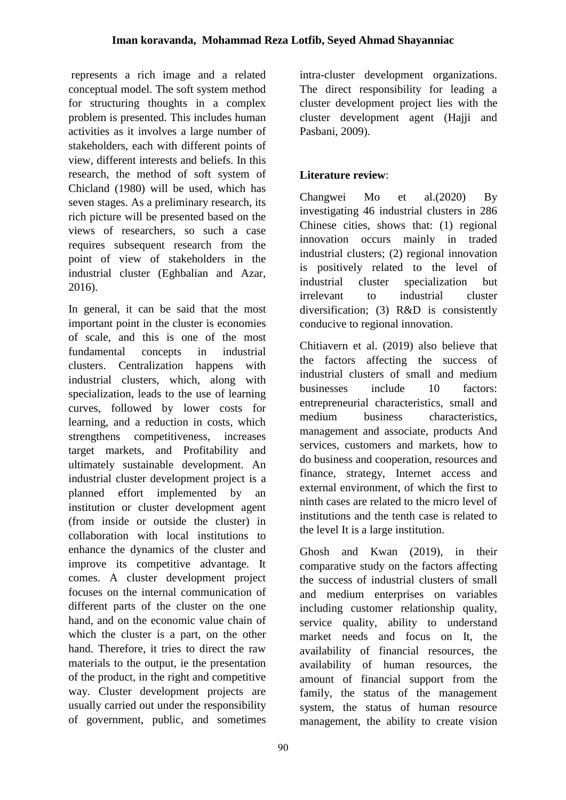represents a rich image and a related conceptual model. The soft system method for structuring thoughts in a complex problem is presented. This includes human activities as it involves a large number of stakeholders, each with different points of view, different interests and beliefs. In this research, the method of soft system of Chicland (1980) will be used, which has seven stages. As a preliminary research, its rich picture will be presented based on the views of researchers, so such a case requires subsequent research from the point of view of stakeholders in the industrial cluster (Eghbalian and Azar, 2016).

In general, it can be said that the most important point in the cluster is economies of scale, and this is one of the most fundamental concepts in industrial clusters. Centralization happens with industrial clusters, which, along with specialization, leads to the use of learning curves, followed by lower costs for learning, and a reduction in costs, which strengthens competitiveness, increases target markets, and Profitability and ultimately sustainable development. An industrial cluster development project is a planned effort implemented by an institution or cluster development agent (from inside or outside the cluster) in collaboration with local institutions to enhance the dynamics of the cluster and improve its competitive advantage. It comes. A cluster development project focuses on the internal communication of different parts of the cluster on the one hand, and on the economic value chain of which the cluster is a part, on the other hand. Therefore, it tries to direct the raw materials to the output, ie the presentation of the product, in the right and competitive way. Cluster development projects are usually carried out under the responsibility of government, public, and sometimes

intra-cluster development organizations. The direct responsibility for leading a cluster development project lies with the cluster development agent (Hajji and Pasbani, 2009).

## **Literature review**:

Changwei Mo et al.(2020) By investigating 46 industrial clusters in 286 Chinese cities, shows that: (1) regional innovation occurs mainly in traded industrial clusters; (2) regional innovation is positively related to the level of industrial cluster specialization but irrelevant to industrial cluster diversification; (3) R&D is consistently conducive to regional innovation.

Chitiavern et al. (2019) also believe that the factors affecting the success of industrial clusters of small and medium businesses include 10 factors: entrepreneurial characteristics, small and medium business characteristics, management and associate, products And services, customers and markets, how to do business and cooperation, resources and finance, strategy, Internet access and external environment, of which the first to ninth cases are related to the micro level of institutions and the tenth case is related to the level It is a large institution.

Ghosh and Kwan (2019), in their comparative study on the factors affecting the success of industrial clusters of small and medium enterprises on variables including customer relationship quality, service quality, ability to understand market needs and focus on It, the availability of financial resources, the availability of human resources, the amount of financial support from the family, the status of the management system, the status of human resource management, the ability to create vision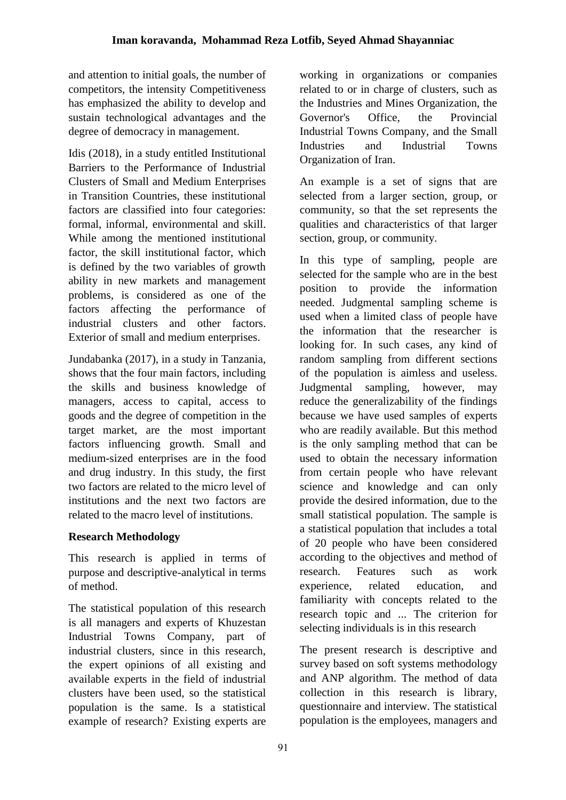and attention to initial goals, the number of competitors, the intensity Competitiveness has emphasized the ability to develop and sustain technological advantages and the degree of democracy in management.

Idis (2018), in a study entitled Institutional Barriers to the Performance of Industrial Clusters of Small and Medium Enterprises in Transition Countries, these institutional factors are classified into four categories: formal, informal, environmental and skill. While among the mentioned institutional factor, the skill institutional factor, which is defined by the two variables of growth ability in new markets and management problems, is considered as one of the factors affecting the performance of industrial clusters and other factors. Exterior of small and medium enterprises.

Jundabanka (2017), in a study in Tanzania, shows that the four main factors, including the skills and business knowledge of managers, access to capital, access to goods and the degree of competition in the target market, are the most important factors influencing growth. Small and medium-sized enterprises are in the food and drug industry. In this study, the first two factors are related to the micro level of institutions and the next two factors are related to the macro level of institutions.

## **Research Methodology**

This research is applied in terms of purpose and descriptive-analytical in terms of method.

The statistical population of this research is all managers and experts of Khuzestan Industrial Towns Company, part of industrial clusters, since in this research, the expert opinions of all existing and available experts in the field of industrial clusters have been used, so the statistical population is the same. Is a statistical example of research? Existing experts are working in organizations or companies related to or in charge of clusters, such as the Industries and Mines Organization, the Governor's Office, the Provincial Industrial Towns Company, and the Small Industries and Industrial Towns Organization of Iran.

An example is a set of signs that are selected from a larger section, group, or community, so that the set represents the qualities and characteristics of that larger section, group, or community.

In this type of sampling, people are selected for the sample who are in the best position to provide the information needed. Judgmental sampling scheme is used when a limited class of people have the information that the researcher is looking for. In such cases, any kind of random sampling from different sections of the population is aimless and useless. Judgmental sampling, however, may reduce the generalizability of the findings because we have used samples of experts who are readily available. But this method is the only sampling method that can be used to obtain the necessary information from certain people who have relevant science and knowledge and can only provide the desired information, due to the small statistical population. The sample is a statistical population that includes a total of 20 people who have been considered according to the objectives and method of research. Features such as work experience, related education, and familiarity with concepts related to the research topic and ... The criterion for selecting individuals is in this research

The present research is descriptive and survey based on soft systems methodology and ANP algorithm. The method of data collection in this research is library, questionnaire and interview. The statistical population is the employees, managers and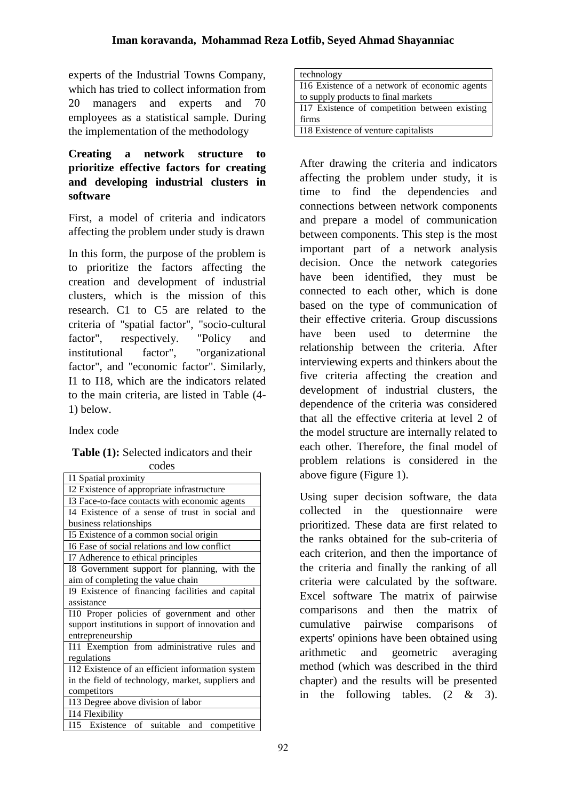experts of the Industrial Towns Company, which has tried to collect information from 20 managers and experts and 70 employees as a statistical sample. During the implementation of the methodology

## **Creating a network structure to prioritize effective factors for creating and developing industrial clusters in software**

First, a model of criteria and indicators affecting the problem under study is drawn

In this form, the purpose of the problem is to prioritize the factors affecting the creation and development of industrial clusters, which is the mission of this research. C1 to C5 are related to the criteria of "spatial factor", "socio-cultural factor", respectively. "Policy and institutional factor", "organizational factor", and "economic factor". Similarly, I1 to I18, which are the indicators related to the main criteria, are listed in Table (4- 1) below.

Index code

#### **Table (1):** Selected indicators and their codes

| I1 Spatial proximity                              |
|---------------------------------------------------|
| I2 Existence of appropriate infrastructure        |
| I3 Face-to-face contacts with economic agents     |
| I4 Existence of a sense of trust in social and    |
| business relationships                            |
| 15 Existence of a common social origin            |
| I6 Ease of social relations and low conflict      |
| I7 Adherence to ethical principles                |
| I8 Government support for planning, with the      |
| aim of completing the value chain                 |
| I9 Existence of financing facilities and capital  |
| assistance                                        |
| I10 Proper policies of government and other       |
| support institutions in support of innovation and |
| entrepreneurship                                  |
| I11 Exemption from administrative rules and       |
| regulations                                       |
| I12 Existence of an efficient information system  |
| in the field of technology, market, suppliers and |
| competitors                                       |
| I13 Degree above division of labor                |
| I14 Flexibility                                   |
| I15 Existence of suitable and competitive         |

| technology                                    |
|-----------------------------------------------|
| 116 Existence of a network of economic agents |
| to supply products to final markets           |
| I17 Existence of competition between existing |
| firms                                         |
| I18 Existence of venture capitalists          |

After drawing the criteria and indicators affecting the problem under study, it is time to find the dependencies and connections between network components and prepare a model of communication between components. This step is the most important part of a network analysis decision. Once the network categories have been identified, they must be connected to each other, which is done based on the type of communication of their effective criteria. Group discussions have been used to determine the relationship between the criteria. After interviewing experts and thinkers about the five criteria affecting the creation and development of industrial clusters, the dependence of the criteria was considered that all the effective criteria at level 2 of the model structure are internally related to each other. Therefore, the final model of problem relations is considered in the above figure (Figure 1).

Using super decision software, the data collected in the questionnaire were prioritized. These data are first related to the ranks obtained for the sub-criteria of each criterion, and then the importance of the criteria and finally the ranking of all criteria were calculated by the software. Excel software The matrix of pairwise comparisons and then the matrix of cumulative pairwise comparisons of experts' opinions have been obtained using arithmetic and geometric averaging method (which was described in the third chapter) and the results will be presented in the following tables. (2 & 3).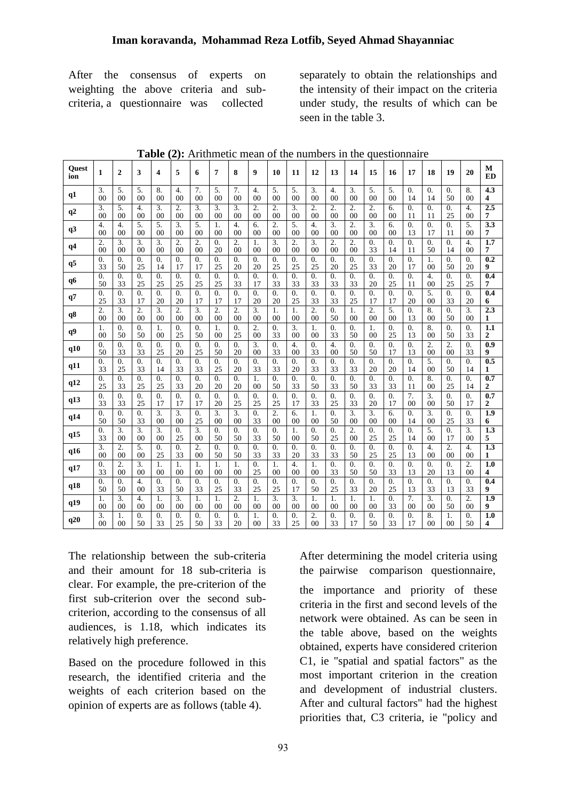After the consensus of experts on weighting the above criteria and subcriteria, a questionnaire was collected

separately to obtain the relationships and the intensity of their impact on the criteria under study, the results of which can be seen in the table 3.

| Quest<br>ion   | 1                | $\overline{2}$   | 3                | 4                | 5                | 6                | 7                | 8                | 9                | 10               | 11             | 12               | 13               | 14               | 15               | 16               | 17               | 18               | 19               | 20               | М<br><b>ED</b>   |
|----------------|------------------|------------------|------------------|------------------|------------------|------------------|------------------|------------------|------------------|------------------|----------------|------------------|------------------|------------------|------------------|------------------|------------------|------------------|------------------|------------------|------------------|
| q1             | 3.               | 5.               | 5.               | 8.               | $\overline{4}$ . | 7.               | 5.               | 7.               | 4.               | 5.               | 5.             | 3.               | 4.               | 3.               | 5.               | 5.               | $\overline{0}$ . | $\theta$ .       | $\theta$ .       | 8.               | $\overline{4.3}$ |
|                | 0 <sup>0</sup>   | 0 <sup>0</sup>   | 0 <sup>0</sup>   | 0 <sub>0</sub>   | 0 <sup>0</sup>   | 0 <sub>0</sub>   | 0 <sub>0</sub>   | 0 <sub>0</sub>   | 0 <sup>0</sup>   | 0 <sup>0</sup>   | 0 <sub>0</sub> | 0 <sup>0</sup>   | 0 <sup>0</sup>   | 0 <sub>0</sub>   | 0 <sup>0</sup>   | 0 <sub>0</sub>   | 14               | 14               | 50               | 0 <sup>0</sup>   | 4                |
| q2             | 3.               | 5.               | 4.               | 3.               | 2.               | 3.               | 3.               | 3.               | 2.               | 2.               | 3.             | 2.               | 2.               | 2.               | 2.               | 6.               | 0.               | 0.               | 0.               | 4.               | 2.5              |
|                | 0 <sup>0</sup>   | 00               | 00               | 00               | 00               | 00               | 00               | 00               | 00               | 00               | 00             | 00               | 00               | 00               | 00               | 0 <sup>0</sup>   | 11               | 11               | 25               | 00               | 7                |
| q3             | $\overline{4}$ . | $\overline{4}$ . | 5.               | 5.               | 3.               | 5.               | 1.               | 4.               | 6.               | 2.               | 5.             | $\overline{4}$ . | 3.               | 2.               | 3.               | 6.               | $\overline{0}$ . | 0.               | $\overline{0}$ . | 5.               | $\overline{3.3}$ |
|                | 0 <sup>0</sup>   | 0 <sup>0</sup>   | 0 <sup>0</sup>   | 00               | 0 <sup>0</sup>   | 0 <sup>0</sup>   | 00               | 00               | 0 <sup>0</sup>   | 00               | 00             | 00               | 00               | 0 <sup>0</sup>   | 0 <sup>0</sup>   | 0 <sup>0</sup>   | 13               | 17               | 11               | 00               | 7                |
| q <sub>4</sub> | 2.               | 3.               | 3.               | 3.               | 2.               | 2.               | 0.               | 2.               | 1.               | 3.               | 2.             | 3.               | 2.               | 2.               | 0.               | 0.               | 0.               | 0.               | 0.               | 4.               | 1.7              |
|                | 00               | 00               | 00               | 00               | 00               | 00               | 20               | 00               | 00               | 00               | 00             | 00               | 00               | 00               | 33               | 14               | 11               | 50               | 14               | 00               | 7                |
| q5             | $\Omega$ .       | $\overline{0}$ . | 0.               | 0.               | 0.               | 0.               | $\overline{0}$ . | 0.               | $\overline{0}$ . | 0.               | 0.             | $\theta$ .       | $\overline{0}$ . | $\overline{0}$ . | $\overline{0}$ . | $\overline{0}$ . | $\overline{0}$ . | 1.               | $\overline{0}$ . | $\overline{0}$ . | $\overline{0.2}$ |
|                | 33               | 50               | 25               | 14               | 17               | 17               | 25               | 20               | 20               | 25               | 25             | 25               | 20               | 25               | 33               | 20               | 17               | 0 <sup>0</sup>   | 50               | 20               | 9                |
| q6             | 0.               | 0.               | 0.               | 0.               | 0.               | 0.               | 0.               | 0.               | $\overline{0}$ . | 0.               | 0.             | $\theta$ .       | $\overline{0}$ . | 0.               | $\overline{0}$ . | 0.               | 0.               | $\overline{4}$ . | 0.               | 0.               | 0.4              |
|                | 50               | 33               | 25               | 25               | 25               | 25               | 25               | 33               | 17               | 33               | 33             | 33               | 33               | 33               | 20               | 25               | 11               | 00               | 25               | 25               | 7                |
| q7             | $\overline{0}$ . | $\overline{0}$ . | 0.               | 0.               | $\overline{0}$ . | $\overline{0}$ . | $\overline{0}$ . | $\overline{0}$ . | $\overline{0}$ . | $\overline{0}$ . | 0.             | $\overline{0}$ . | $\overline{0}$ . | $\overline{0}$ . | $\overline{0}$ . | $\overline{0}$ . | 0.               | 5.               | $\overline{0}$ . | $\overline{0}$ . | 0.4              |
|                | 25               | 33               | 17               | 20               | 20               | 17               | 17               | 17               | 20               | 20               | 25             | 33               | 33               | 25               | 17               | 17               | 20               | 00               | 33               | 20               | 6                |
| q8             | $\overline{2}$ . | 3.               | 2.               | 3.               | $\overline{2}$ . | 3.               | 2.               | $\overline{2}$ . | 3.               | 1.               | 1.             | $\overline{2}$ . | $\overline{0}$ . | 1.               | $\overline{2}$ . | 5.               | $\overline{0}$ . | 8.               | $\overline{0}$ . | 3.               | 2.3              |
|                | 00               | 00               | 00               | 00               | 00               | 00               | 00               | 00               | 00               | 00               | 00             | 00               | 50               | 00               | 00               | 00               | 13               | 00               | 50               | 00               | 1                |
| q9             | 1.               | $\overline{0}$ . | $\overline{0}$ . | 1.               | 0.               | $\overline{0}$ . | 1.               | 0.               | $\overline{2}$ . | $\overline{0}$ . | 3.             | 1.               | $\overline{0}$ . | $\overline{0}$ . | 1.               | $\overline{0}$ . | $\overline{0}$ . | 8.               | $\overline{0}$ . | $\overline{0}$ . | 1.1              |
|                | 00               | 50               | 50               | 00               | 25               | 50               | 00               | 25               | 00               | 33               | 00             | 00               | 33               | 50               | 00               | 25               | 13               | 00               | 50               | 33               | 2                |
| q10            | $\Omega$ .       | $\overline{0}$ . | $\Omega$ .       | 0.               | $\Omega$ .       | $\theta$ .       | $\Omega$ .       | $\Omega$ .       | 3.               | $\Omega$ .       | 4.             | $\Omega$ .       | 4.               | $\Omega$ .       | $\Omega$ .       | $\overline{0}$ . | $\overline{0}$ . | 2.               | $\overline{2}$ . | $\overline{0}$ . | 0.9              |
|                | 50               | 33               | 33               | 25               | 20               | 25               | 50               | 20               | 00               | 33               | 00             | 33               | 00               | 50               | 50               | 17               | 13               | 00               | 00               | 33               | 9                |
| q11            | $\overline{0}$ . | $\overline{0}$ . | $\theta$ .       | $\overline{0}$ . | $\overline{0}$ . | $\overline{0}$ . | $\overline{0}$ . | 0.               | $\overline{0}$ . | $\overline{0}$ . | 0.             | $\overline{0}$ . | $\overline{0}$ . | $\overline{0}$ . | $\overline{0}$ . | $\overline{0}$ . | $\theta$ .       | 5.               | $\overline{0}$ . | $\overline{0}$ . | 0.5              |
|                | 33               | 25               | 33               | 14               | 33               | 33               | 25               | 20               | 33               | 33               | 20             | 33               | 33               | 33               | 20               | 20               | 14               | 00               | 50               | 14               | 1                |
| q12            | $\overline{0}$ . | $\overline{0}$ . | $\overline{0}$ . | 0.               | $\overline{0}$ . | $\overline{0}$ . | 0.               | 0.               | 1.               | $\overline{0}$ . | 0.             | $\overline{0}$ . | $\overline{0}$ . | $\overline{0}$ . | $\overline{0}$ . | $\overline{0}$ . | $\overline{0}$ . | 8.               | $\overline{0}$ . | $\overline{0}$ . | $\overline{0.7}$ |
|                | 25               | 33               | 25               | 25               | 33               | 20               | 20               | 20               | 00               | 50               | 33             | 50               | 33               | 50               | 33               | 33               | 11               | 00               | 25               | 14               | 2                |
| q13            | $\Omega$ .       | $\overline{0}$ . | $\overline{0}$ . | $\overline{0}$ . | $\Omega$ .       | $\overline{0}$ . | $\Omega$ .       | $\theta$ .       | $\overline{0}$ . | $\overline{0}$ . | 0.             | $\Omega$ .       | $\overline{0}$ . | $\overline{0}$ . | $\Omega$ .       | $\overline{0}$ . | 7.               | 3.               | $\Omega$ .       | $\overline{0}$ . | 0.7              |
|                | 33               | 33               | 25               | 17               | 17               | 17               | 20               | 25               | 25               | 25               | 17             | 33               | 25               | 33               | 20               | 17               | 00               | 00               | 50               | 17               | 2                |
| q14            | $\Omega$ .       | $\theta$ .       | $\overline{0}$ . | 3.               | $\overline{3}$ . | $\overline{0}$ . | 3.               | $\overline{3}$ . | $\overline{0}$ . | 2.               | 6.             | $\mathbf{1}$ .   | $\overline{0}$ . | 3.               | $\overline{3}$ . | 6.               | $\Omega$ .       | 3.               | $\Omega$ .       | $\theta$ .       | $\overline{1.9}$ |
|                | 50               | 50               | 33               | 00               | 00               | 25               | 00               | 00               | 33               | 00               | 00             | 00               | 50               | 00               | 00               | 00               | 14               | 00               | 25               | 33               | 6                |
| q15            | $\overline{0}$ . | $\overline{3}$ . | $\overline{3}$ . | 3.               | $\Omega$ .       | $\overline{3}$ . | $\overline{0}$ . | $\Omega$ .       | $\overline{0}$ . | $\overline{0}$ . | 1.             | $\Omega$ .       | $\overline{0}$ . | $\overline{2}$ . | $\overline{0}$ . | $\overline{0}$ . | $\overline{0}$ . | 5.               | $\Omega$ .       | $\overline{3}$ . | $\overline{1.3}$ |
|                | 33               | 00               | 00               | 00               | 25               | 00               | 50               | 50               | 33               | 50               | 00             | 50               | 25               | 00               | 25               | 25               | 14               | 00               | 17               | 00               | 5                |
| q16            | $\overline{3}$ . | 2.               | 5.               | 0.               | $\theta$ .       | 2.               | $\overline{0}$ . | $\overline{0}$ . | $\overline{0}$ . | $\Omega$ .       | 0.             | $\Omega$ .       | $\theta$ .       | $\overline{0}$ . | 0.               | $\overline{0}$ . | $\overline{0}$ . | $\overline{4}$ . | 2.               | 4.               | $\overline{1.3}$ |
|                | 00               | 00               | 00               | 25               | 33               | 00               | 50               | 50               | 33               | 33               | 20             | 33               | 33               | 50               | 25               | 25               | 13               | 00               | 00               | 00               | $\mathbf{1}$     |
| q17            | $\theta$ .       | $\overline{2}$ . | $\overline{3}$ . | 1.               | 1.               | 1.               | 1.               | 1.               | $\overline{0}$ . | 1.               | 4.             | 1.               | $\overline{0}$ . | $\overline{0}$ . | $\Omega$ .       | $\overline{0}$ . | $\overline{0}$ . | 0.               | $\Omega$ .       | $\overline{2}$ . | $\overline{1.0}$ |
|                | 33               | 00               | 00               | 00               | 00               | 00               | 00               | 00               | 25               | 00               | 00             | 00               | 33               | 50               | 50               | 33               | 13               | 20               | 13               | 00               | 4                |
| q18            | $\Omega$ .       | $\overline{0}$ . | 4.               | 0.               | $\theta$ .       | $\overline{0}$ . | $\overline{0}$ . | $\overline{0}$ . | $\overline{0}$ . | $\Omega$ .       | 0.             | $\overline{0}$ . | $\overline{0}$ . | $\overline{0}$ . | $\overline{0}$ . | $\overline{0}$ . | $\Omega$ .       | 0.               | $\theta$ .       | $\theta$ .       | 0.4              |
|                | 50               | 50               | 0 <sub>0</sub>   | 33               | 50               | 33               | 25               | 33               | 25               | 25               | 17             | 50               | 25               | 33               | 20               | 25               | 13               | 33               | 13               | 33               | 9                |
| q19            | 1.               | $\overline{3}$ . | 4.               | 1.               | $\overline{3}$ . | $\mathbf{1}$ .   | 1.               | $\overline{2}$ . | $\mathbf{1}$ .   | 3.               | 3.             | $\mathbf{1}$ .   | 1.               | 1.               | 1.               | $\overline{0}$ . | $\overline{7}$ . | 3.               | $\Omega$ .       | $\overline{2}$ . | $\overline{1.9}$ |
|                | 00               | 00               | 00               | 00               | 00               | 00               | 00               | 00               | 00               | 00               | 00             | 00               | 00               | 00               | 00               | 33               | 00               | 00               | 50               | 00               | 9                |
| q20            | 3.               | 1.               | $\overline{0}$ . | 0.               | $\overline{0}$ . | $\overline{0}$ . | $\overline{0}$ . | $\Omega$ .       | 1.               | $\overline{0}$ . | 0.             | 2.               | $\overline{0}$ . | $\overline{0}$ . | $\overline{0}$ . | $\overline{0}$ . | $\Omega$ .       | 8.               | 1.               | $\overline{0}$ . | 1.0              |
|                | 00               | 00               | 50               | 33               | 25               | 50               | 33               | 20               | 00               | 33               | 25             | 00               | 33               | 17               | 50               | 33               | 17               | 0 <sup>0</sup>   | 00               | 50               | 4                |

**Table (2):** Arithmetic mean of the numbers in the questionnaire

The relationship between the sub-criteria and their amount for 18 sub-criteria is clear. For example, the pre-criterion of the first sub-criterion over the second subcriterion, according to the consensus of all audiences, is 1.18, which indicates its relatively high preference.

Based on the procedure followed in this research, the identified criteria and the weights of each criterion based on the opinion of experts are as follows (table 4).

After determining the model criteria using the pairwise comparison questionnaire,

the importance and priority of these criteria in the first and second levels of the network were obtained. As can be seen in the table above, based on the weights obtained, experts have considered criterion C1, ie "spatial and spatial factors" as the most important criterion in the creation and development of industrial clusters. After and cultural factors" had the highest priorities that, C3 criteria, ie "policy and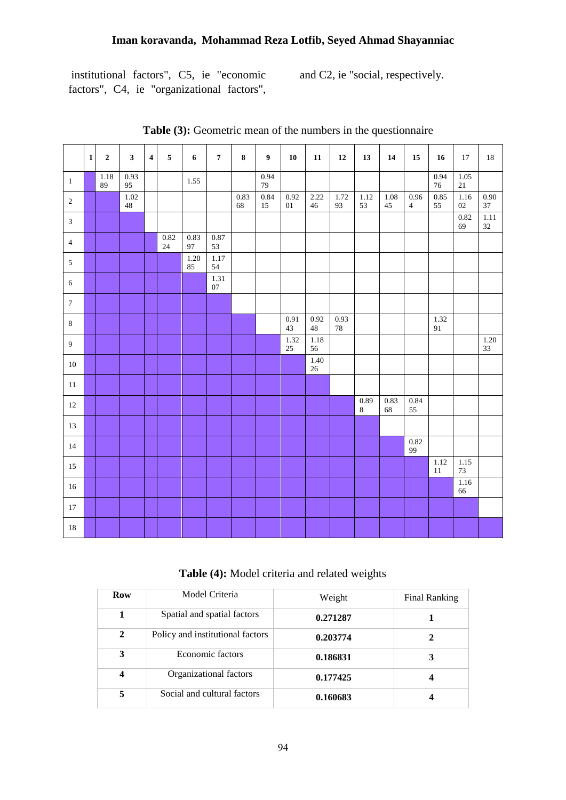institutional factors", C5, ie "economic factors", C4, ie "organizational factors",

and C2, ie "social, respectively.

|                  | $1\vert$ | $\mathbf 2$ | 3 <sup>1</sup> | $\overline{\mathbf{4}}$ | $\sqrt{5}$     | $\boldsymbol{6}$ | $\overline{7}$    | $\bf 8$    | 9 <sup>1</sup> | 10             | 11             | <b>12</b>  | 13            | 14         | ${\bf 15}$             | 16                        | 17                 | 18                |
|------------------|----------|-------------|----------------|-------------------------|----------------|------------------|-------------------|------------|----------------|----------------|----------------|------------|---------------|------------|------------------------|---------------------------|--------------------|-------------------|
| $\mathbf{1}$     |          | 1.18<br>89  | 0.93<br>95     |                         |                | 1.55             |                   |            | 0.94<br>79     |                |                |            |               |            |                        | 0.94<br>$76\,$            | 1.05<br>$21\,$     |                   |
| $\sqrt{2}$       |          |             | 1.02<br>$48\,$ |                         |                |                  |                   | 0.83<br>68 | 0.84<br>$15\,$ | 0.92<br>$01\,$ | 2.22<br>$46\,$ | 1.72<br>93 | 1.12<br>53    | 1.08<br>45 | 0.96<br>$\overline{4}$ | 0.85<br>55                | 1.16<br>$02\,$     | 0.90<br>$37\,$    |
| $\mathfrak{Z}$   |          |             |                |                         |                |                  |                   |            |                |                |                |            |               |            |                        |                           | 0.82<br>69         | $\frac{1.11}{32}$ |
| $\overline{4}$   |          |             |                |                         | 0.82<br>$24\,$ | 0.83<br>97       | $0.87\,$<br>53    |            |                |                |                |            |               |            |                        |                           |                    |                   |
| $\sqrt{5}$       |          |             |                |                         |                | $1.20\,$<br>85   | $\frac{1.17}{54}$ |            |                |                |                |            |               |            |                        |                           |                    |                   |
| $6\,$            |          |             |                |                         |                |                  | 1.31<br>$07\,$    |            |                |                |                |            |               |            |                        |                           |                    |                   |
| $\boldsymbol{7}$ |          |             |                |                         |                |                  |                   |            |                |                |                |            |               |            |                        |                           |                    |                   |
| $\,8\,$          |          |             |                |                         |                |                  |                   |            |                | 0.91<br>43     | 0.92<br>48     | 0.93<br>78 |               |            |                        | 1.32<br>$\boldsymbol{91}$ |                    |                   |
| $\overline{9}$   |          |             |                |                         |                |                  |                   |            |                | 1.32<br>$25\,$ | $1.18\,$<br>56 |            |               |            |                        |                           |                    | $1.20\,$<br>33    |
| $10\,$           |          |             |                |                         |                |                  |                   |            |                |                | $1.40\,$<br>26 |            |               |            |                        |                           |                    |                   |
| $11\,$           |          |             |                |                         |                |                  |                   |            |                |                |                |            |               |            |                        |                           |                    |                   |
| $12\,$           |          |             |                |                         |                |                  |                   |            |                |                |                |            | 0.89<br>$8\,$ | 0.83<br>68 | 0.84<br>55             |                           |                    |                   |
| 13               |          |             |                |                         |                |                  |                   |            |                |                |                |            |               |            |                        |                           |                    |                   |
| $14\,$           |          |             |                |                         |                |                  |                   |            |                |                |                |            |               |            | 0.82<br>99             |                           |                    |                   |
| 15               |          |             |                |                         |                |                  |                   |            |                |                |                |            |               |            |                        | 1.12<br>$11\,$            | $1.15\,$<br>$73\,$ |                   |
| $16\,$           |          |             |                |                         |                |                  |                   |            |                |                |                |            |               |            |                        |                           | $\frac{1.16}{66}$  |                   |
| $17\,$           |          |             |                |                         |                |                  |                   |            |                |                |                |            |               |            |                        |                           |                    |                   |
| $18\,$           |          |             |                |                         |                |                  |                   |            |                |                |                |            |               |            |                        |                           |                    |                   |

**Table (3):** Geometric mean of the numbers in the questionnaire

**Table (4):** Model criteria and related weights

| Row                     | Model Criteria                   | Weight   | Final Ranking |
|-------------------------|----------------------------------|----------|---------------|
| 1                       | Spatial and spatial factors      | 0.271287 |               |
| $\mathbf{2}$            | Policy and institutional factors | 0.203774 |               |
| 3                       | Economic factors                 | 0.186831 |               |
| $\overline{\mathbf{4}}$ | Organizational factors           | 0.177425 |               |
| 5                       | Social and cultural factors      | 0.160683 |               |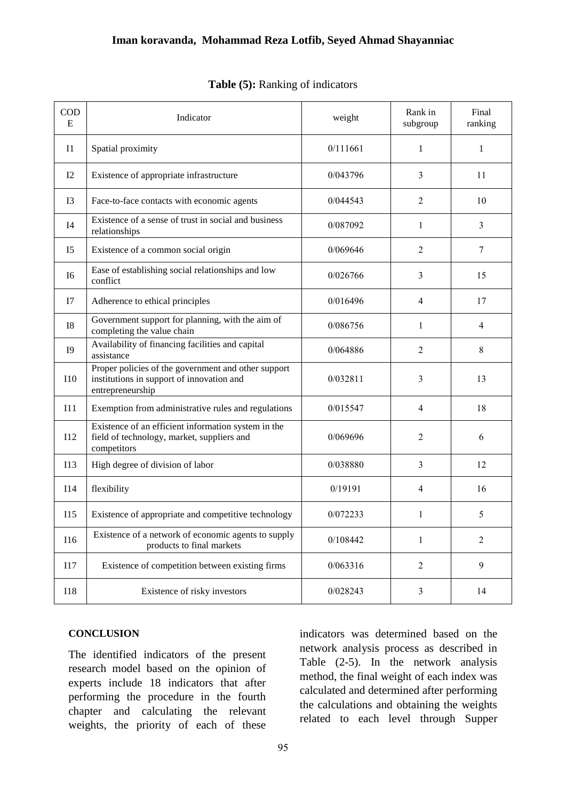| <b>COD</b><br>E | Indicator                                                                                                            | weight   | Rank in<br>subgroup | Final<br>ranking |
|-----------------|----------------------------------------------------------------------------------------------------------------------|----------|---------------------|------------------|
| 11              | Spatial proximity                                                                                                    | 0/111661 | 1                   | 1                |
| 12              | Existence of appropriate infrastructure                                                                              | 0/043796 | 3                   | 11               |
| 13              | Face-to-face contacts with economic agents                                                                           | 0/044543 | 2                   | 10               |
| I4              | Existence of a sense of trust in social and business<br>relationships                                                | 0/087092 | 1                   | 3                |
| I <sub>5</sub>  | Existence of a common social origin                                                                                  | 0/069646 | $\overline{2}$      | $\tau$           |
| <b>I6</b>       | Ease of establishing social relationships and low<br>conflict                                                        | 0/026766 | 3                   | 15               |
| I7              | Adherence to ethical principles                                                                                      | 0/016496 | 4                   | 17               |
| <b>I8</b>       | Government support for planning, with the aim of<br>completing the value chain                                       | 0/086756 | 1                   | 4                |
| <b>I9</b>       | Availability of financing facilities and capital<br>assistance                                                       | 0/064886 | $\overline{2}$      | 8                |
| 110             | Proper policies of the government and other support<br>institutions in support of innovation and<br>entrepreneurship | 0/032811 | 3                   | 13               |
| I11             | Exemption from administrative rules and regulations                                                                  | 0/015547 | $\overline{4}$      | 18               |
| I12             | Existence of an efficient information system in the<br>field of technology, market, suppliers and<br>competitors     | 0/069696 | $\overline{2}$      | 6                |
| I13             | High degree of division of labor                                                                                     | 0/038880 | 3                   | 12               |
| I14             | flexibility                                                                                                          | 0/19191  | 4                   | 16               |
| I15             | Existence of appropriate and competitive technology                                                                  | 0/072233 | 1                   | 5                |
| <b>I16</b>      | Existence of a network of economic agents to supply<br>products to final markets                                     | 0/108442 | $\mathbf{1}$        | 2                |
| <b>I17</b>      | Existence of competition between existing firms                                                                      | 0/063316 | $\overline{2}$      | 9                |
| <b>I18</b>      | Existence of risky investors                                                                                         | 0/028243 | $\mathfrak{Z}$      | 14               |

#### **Table (5):** Ranking of indicators

#### **CONCLUSION**

The identified indicators of the present research model based on the opinion of experts include 18 indicators that after performing the procedure in the fourth chapter and calculating the relevant weights, the priority of each of these

indicators was determined based on the network analysis process as described in Table (2-5). In the network analysis method, the final weight of each index was calculated and determined after performing the calculations and obtaining the weights related to each level through Supper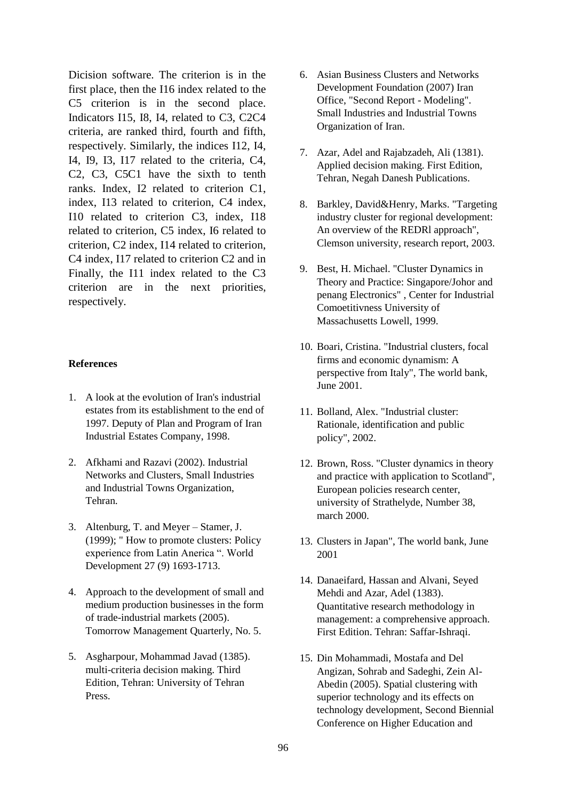Dicision software. The criterion is in the first place, then the I16 index related to the C5 criterion is in the second place. Indicators I15, I8, I4, related to C3, C2C4 criteria, are ranked third, fourth and fifth, respectively. Similarly, the indices I12, I4, I4, I9, I3, I17 related to the criteria, C4, C2, C3, C5C1 have the sixth to tenth ranks. Index, I2 related to criterion C1, index, I13 related to criterion, C4 index, I10 related to criterion C3, index, I18 related to criterion, C5 index, I6 related to criterion, C2 index, I14 related to criterion, C4 index, I17 related to criterion C2 and in Finally, the I11 index related to the C3 criterion are in the next priorities, respectively.

#### **References**

- 1. A look at the evolution of Iran's industrial estates from its establishment to the end of 1997. Deputy of Plan and Program of Iran Industrial Estates Company, 1998.
- 2. Afkhami and Razavi (2002). Industrial Networks and Clusters, Small Industries and Industrial Towns Organization, Tehran.
- 3. Altenburg, T. and Meyer Stamer, J. (1999); " How to promote clusters: Policy experience from Latin Anerica ". World Development 27 (9) 1693-1713.
- 4. Approach to the development of small and medium production businesses in the form of trade-industrial markets (2005). Tomorrow Management Quarterly, No. 5.
- 5. Asgharpour, Mohammad Javad (1385). multi-criteria decision making. Third Edition, Tehran: University of Tehran Press.
- 6. Asian Business Clusters and Networks Development Foundation (2007) Iran Office, "Second Report - Modeling". Small Industries and Industrial Towns Organization of Iran.
- 7. Azar, Adel and Rajabzadeh, Ali (1381). Applied decision making. First Edition, Tehran, Negah Danesh Publications.
- 8. Barkley, David&Henry, Marks. "Targeting industry cluster for regional development: An overview of the REDRl approach", Clemson university, research report, 2003.
- 9. Best, H. Michael. "Cluster Dynamics in Theory and Practice: Singapore/Johor and penang Electronics" , Center for Industrial Comoetitivness University of Massachusetts Lowell, 1999.
- 10. Boari, Cristina. "Industrial clusters, focal firms and economic dynamism: A perspective from Italy", The world bank, June 2001.
- 11. Bolland, Alex. "Industrial cluster: Rationale, identification and public policy", 2002.
- 12. Brown, Ross. "Cluster dynamics in theory and practice with application to Scotland", European policies research center, university of Strathelyde, Number 38, march 2000.
- 13. Clusters in Japan", The world bank, June 2001
- 14. Danaeifard, Hassan and Alvani, Seyed Mehdi and Azar, Adel (1383). Quantitative research methodology in management: a comprehensive approach. First Edition. Tehran: Saffar-Ishraqi.
- 15. Din Mohammadi, Mostafa and Del Angizan, Sohrab and Sadeghi, Zein Al-Abedin (2005). Spatial clustering with superior technology and its effects on technology development, Second Biennial Conference on Higher Education and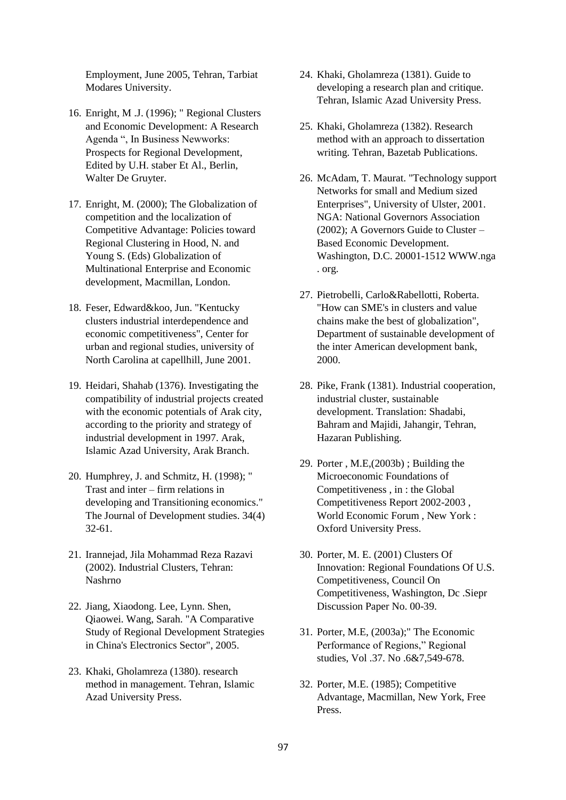Employment, June 2005, Tehran, Tarbiat Modares University.

- 16. Enright, M .J. (1996); " Regional Clusters and Economic Development: A Research Agenda ", In Business Newworks: Prospects for Regional Development, Edited by U.H. staber Et Al., Berlin, Walter De Gruyter.
- 17. Enright, M. (2000); The Globalization of competition and the localization of Competitive Advantage: Policies toward Regional Clustering in Hood, N. and Young S. (Eds) Globalization of Multinational Enterprise and Economic development, Macmillan, London.
- 18. Feser, Edward&koo, Jun. "Kentucky clusters industrial interdependence and economic competitiveness", Center for urban and regional studies, university of North Carolina at capellhill, June 2001.
- 19. Heidari, Shahab (1376). Investigating the compatibility of industrial projects created with the economic potentials of Arak city, according to the priority and strategy of industrial development in 1997. Arak, Islamic Azad University, Arak Branch.
- 20. Humphrey, J. and Schmitz, H. (1998); " Trast and inter – firm relations in developing and Transitioning economics." The Journal of Development studies. 34(4) 32-61.
- 21. Irannejad, Jila Mohammad Reza Razavi (2002). Industrial Clusters, Tehran: Nashrno
- 22. Jiang, Xiaodong. Lee, Lynn. Shen, Qiaowei. Wang, Sarah. "A Comparative Study of Regional Development Strategies in China's Electronics Sector", 2005.
- 23. Khaki, Gholamreza (1380). research method in management. Tehran, Islamic Azad University Press.
- 24. Khaki, Gholamreza (1381). Guide to developing a research plan and critique. Tehran, Islamic Azad University Press.
- 25. Khaki, Gholamreza (1382). Research method with an approach to dissertation writing. Tehran, Bazetab Publications.
- 26. McAdam, T. Maurat. "Technology support Networks for small and Medium sized Enterprises", University of Ulster, 2001. NGA: National Governors Association (2002); A Governors Guide to Cluster – Based Economic Development. Washington, D.C. 20001-1512 [WWW.nga](http://www.nga/) . org.
- 27. Pietrobelli, Carlo&Rabellotti, Roberta. "How can SME's in clusters and value chains make the best of globalization", Department of sustainable development of the inter American development bank, 2000.
- 28. Pike, Frank (1381). Industrial cooperation, industrial cluster, sustainable development. Translation: Shadabi, Bahram and Majidi, Jahangir, Tehran, Hazaran Publishing.
- 29. Porter , M.E,(2003b) ; Building the Microeconomic Foundations of Competitiveness , in : the Global Competitiveness Report 2002-2003 , World Economic Forum , New York : Oxford University Press.
- 30. Porter, M. E. (2001) Clusters Of Innovation: Regional Foundations Of U.S. Competitiveness, Council On Competitiveness, Washington, Dc .Siepr Discussion Paper No. 00-39.
- 31. Porter, M.E, (2003a);" The Economic Performance of Regions," Regional studies, Vol .37. No .6&7,549-678.
- 32. Porter, M.E. (1985); Competitive Advantage, Macmillan, New York, Free Press.